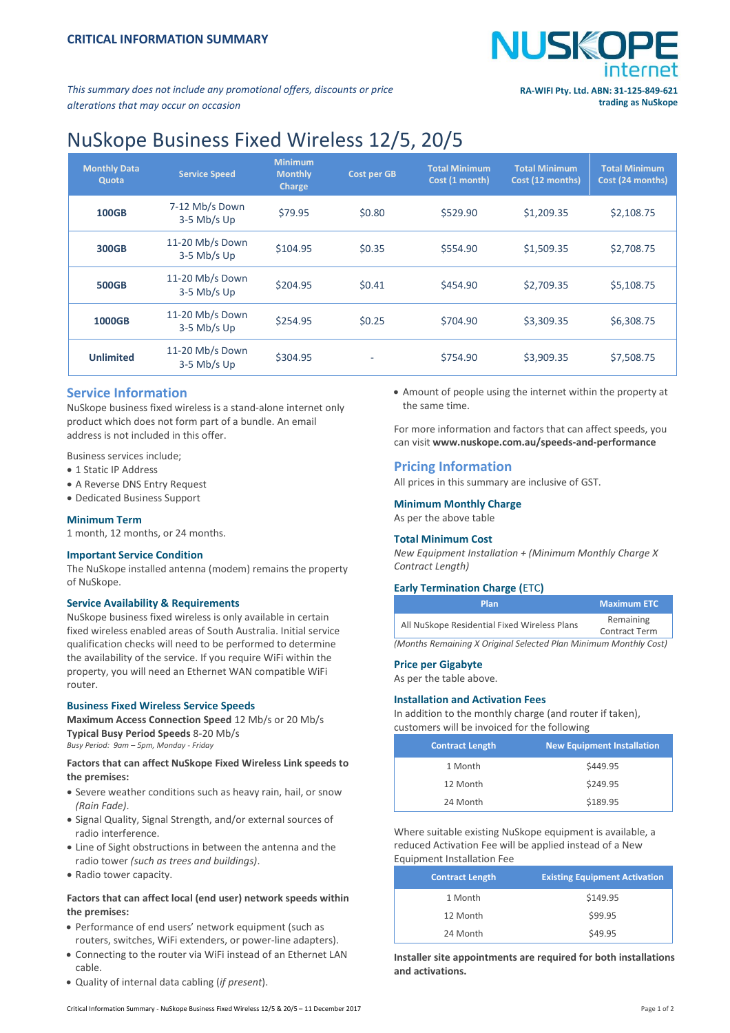

*This summary does not include any promotional offers, discounts or price alterations that may occur on occasion*

# NuSkope Business Fixed Wireless 12/5, 20/5

| <b>Monthly Data</b><br>Quota | <b>Service Speed</b>             | <b>Minimum</b><br><b>Monthly</b><br><b>Charge</b> | <b>Cost per GB</b> | <b>Total Minimum</b><br>Cost (1 month) | <b>Total Minimum</b><br>Cost (12 months) | <b>Total Minimum</b><br>Cost (24 months) |
|------------------------------|----------------------------------|---------------------------------------------------|--------------------|----------------------------------------|------------------------------------------|------------------------------------------|
| <b>100GB</b>                 | 7-12 Mb/s Down<br>$3-5$ Mb/s Up  | \$79.95                                           | \$0.80             | \$529.90                               | \$1,209.35                               | \$2,108.75                               |
| 300GB                        | 11-20 Mb/s Down<br>$3-5$ Mb/s Up | \$104.95                                          | \$0.35             | \$554.90                               | \$1,509.35                               | \$2,708.75                               |
| <b>500GB</b>                 | 11-20 Mb/s Down<br>$3-5$ Mb/s Up | \$204.95                                          | \$0.41             | \$454.90                               | \$2,709.35                               | \$5,108.75                               |
| 1000GB                       | 11-20 Mb/s Down<br>$3-5$ Mb/s Up | \$254.95                                          | \$0.25             | \$704.90                               | \$3,309.35                               | \$6,308.75                               |
| <b>Unlimited</b>             | 11-20 Mb/s Down<br>$3-5$ Mb/s Up | \$304.95                                          | ۰                  | \$754.90                               | \$3,909.35                               | \$7,508.75                               |

# **Service Information**

NuSkope business fixed wireless is a stand-alone internet only product which does not form part of a bundle. An email address is not included in this offer.

Business services include;

- 1 Static IP Address
- A Reverse DNS Entry Request
- Dedicated Business Support

#### **Minimum Term**

1 month, 12 months, or 24 months.

# **Important Service Condition**

The NuSkope installed antenna (modem) remains the property of NuSkope.

# **Service Availability & Requirements**

NuSkope business fixed wireless is only available in certain fixed wireless enabled areas of South Australia. Initial service qualification checks will need to be performed to determine the availability of the service. If you require WiFi within the property, you will need an Ethernet WAN compatible WiFi router.

# **Business Fixed Wireless Service Speeds**

**Maximum Access Connection Speed** 12 Mb/s or 20 Mb/s **Typical Busy Period Speeds** 8-20 Mb/s *Busy Period: 9am – 5pm, Monday - Friday*

# **Factors that can affect NuSkope Fixed Wireless Link speeds to the premises:**

- Severe weather conditions such as heavy rain, hail, or snow *(Rain Fade)*.
- Signal Quality, Signal Strength, and/or external sources of radio interference.
- Line of Sight obstructions in between the antenna and the radio tower *(such as trees and buildings)*.
- Radio tower capacity.

# **Factors that can affect local (end user) network speeds within the premises:**

- Performance of end users' network equipment (such as routers, switches, WiFi extenders, or power-line adapters).
- Connecting to the router via WiFi instead of an Ethernet LAN cable.
- Quality of internal data cabling (*if present*).

 Amount of people using the internet within the property at the same time.

For more information and factors that can affect speeds, you can visit **[www.nuskope.com.au/speeds-and-performance](http://www.nuskope.com.au/speeds-and-performance)**

# **Pricing Information**

All prices in this summary are inclusive of GST.

# **Minimum Monthly Charge**

As per the above table

# **Total Minimum Cost**

*New Equipment Installation + (Minimum Monthly Charge X Contract Length)*

#### **Early Termination Charge (**ETC**)**

| <b>Plan</b>                                                      | <b>Maximum ETC</b>                |  |
|------------------------------------------------------------------|-----------------------------------|--|
| All NuSkope Residential Fixed Wireless Plans                     | Remaining<br><b>Contract Term</b> |  |
| (Manthe Damaining V Original Coloctod Dlan Minimum Manthly Cost) |                                   |  |

*(Months Remaining X Original Selected Plan Minimum Monthly Cost)*

#### **Price per Gigabyte**

As per the table above.

#### **Installation and Activation Fees**

In addition to the monthly charge (and router if taken), customers will be invoiced for the following

| <b>Contract Length</b> | <b>New Equipment Installation</b> |
|------------------------|-----------------------------------|
| 1 Month                | \$449.95                          |
| 12 Month               | \$249.95                          |
| 24 Month               | \$189.95                          |

Where suitable existing NuSkope equipment is available, a reduced Activation Fee will be applied instead of a New Equipment Installation Fee

| <b>Contract Length</b> | <b>Existing Equipment Activation</b> |
|------------------------|--------------------------------------|
| 1 Month                | \$149.95                             |
| 12 Month               | \$99.95                              |
| 24 Month               | \$49.95                              |

**Installer site appointments are required for both installations and activations.**